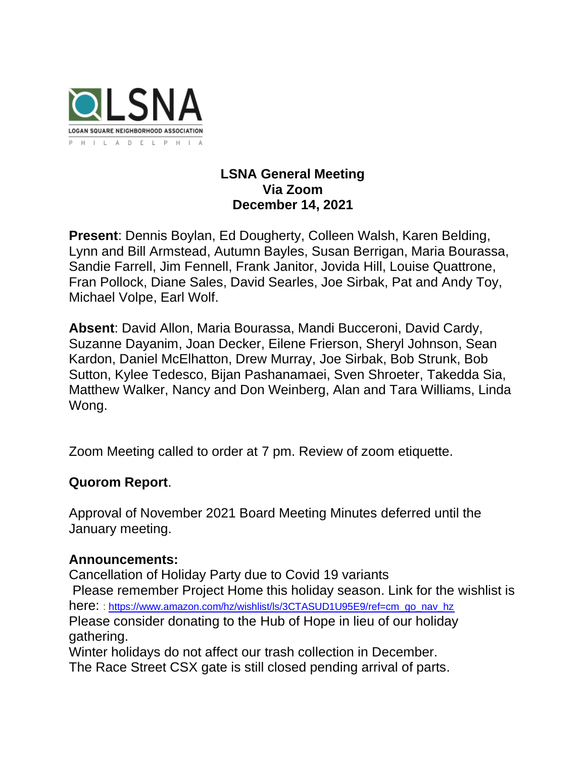

## **LSNA General Meeting Via Zoom December 14, 2021**

**Present**: Dennis Boylan, Ed Dougherty, Colleen Walsh, Karen Belding, Lynn and Bill Armstead, Autumn Bayles, Susan Berrigan, Maria Bourassa, Sandie Farrell, Jim Fennell, Frank Janitor, Jovida Hill, Louise Quattrone, Fran Pollock, Diane Sales, David Searles, Joe Sirbak, Pat and Andy Toy, Michael Volpe, Earl Wolf.

**Absent**: David Allon, Maria Bourassa, Mandi Bucceroni, David Cardy, Suzanne Dayanim, Joan Decker, Eilene Frierson, Sheryl Johnson, Sean Kardon, Daniel McElhatton, Drew Murray, Joe Sirbak, Bob Strunk, Bob Sutton, Kylee Tedesco, Bijan Pashanamaei, Sven Shroeter, Takedda Sia, Matthew Walker, Nancy and Don Weinberg, Alan and Tara Williams, Linda Wong.

Zoom Meeting called to order at 7 pm. Review of zoom etiquette.

# **Quorom Report**.

Approval of November 2021 Board Meeting Minutes deferred until the January meeting.

## **Announcements:**

Cancellation of Holiday Party due to Covid 19 variants Please remember Project Home this holiday season. Link for the wishlist is here: : [https://www.amazon.com/hz/wishlist/ls/3CTASUD1U95E9/ref=cm\\_go\\_nav\\_hz](https://r20.rs6.net/tn.jsp?f=001EAgnaWWWws7AAd13QUHZNekQRb3_9c-Fdegr0C58DkN-0yW_-f-R4xAUtGd28BfND113zPHkRxvOMdIYggmynQnoAMg8Z8spGlFfGyc_NUU6RE35R9Bf0PTGi8tMpF07rChUjFejL6H0YB-JgYQVYZBtg2n2xehbqss670u7RRdRRktMwjpYisPCFdwBluGrsX0wZuL3qoUD1Doe4UywC4DNK7FkbXjsfxqUZYeoFUORLx0FlInpnky0fNR5W684U4C4uH7H4TPOwFHFfZGTQXTFxkbsVj_Y4bwpGcZJb53vILTC4fuC1DX85-YpBWXWxstD-jKCpLHJCrtnTKKgJJ1CAXYobqMQkOgA21L-JL7wud7GHzSgkjtKxpNWCwMdK3yoDvjbiEOEPjbye419xxRQzGRypqy6RxG2fwoIBCoOcIKQFf77tC0gmbIvowhra0UfcVtcUwN-A2h62D63SVR5Pf6JLJf7n0s0ohB2o4zvQHo1VQzE7-AdLorA9ZrD8vrG9Dz3Y_fXCcOhYgwi_dSXcxj_2E9b26tehzqvMV5S6JkweDHZ3U4Jz6KSN4d98z9NgeO7agAxOlgLWFFMT_kXoGXLHCfrrEpMIUvhJ21djA1Aau4ZdEDKTa2DPEnLjevpjrPaUVfaARcXWcQbxEZYQve8bjorrLRAlDLAMZUAPFd5lLG5M2GmAa40yToAepD43vNBh_a_xg1XxnBWpPhdrmUBtyiXZNxsUHs2RGE=&c=kFf8jrH6dmZWM0OzsAkYQG4VMOyuZyHq1aAAinDBZYQT-1f3pxQICw==&ch=xqjXrncpD16i8JF_WMbNEVgM1wFZhKodP1wj2Cc70IzOHoNepKa3vQ==) Please consider donating to the Hub of Hope in lieu of our holiday gathering.

Winter holidays do not affect our trash collection in December. The Race Street CSX gate is still closed pending arrival of parts.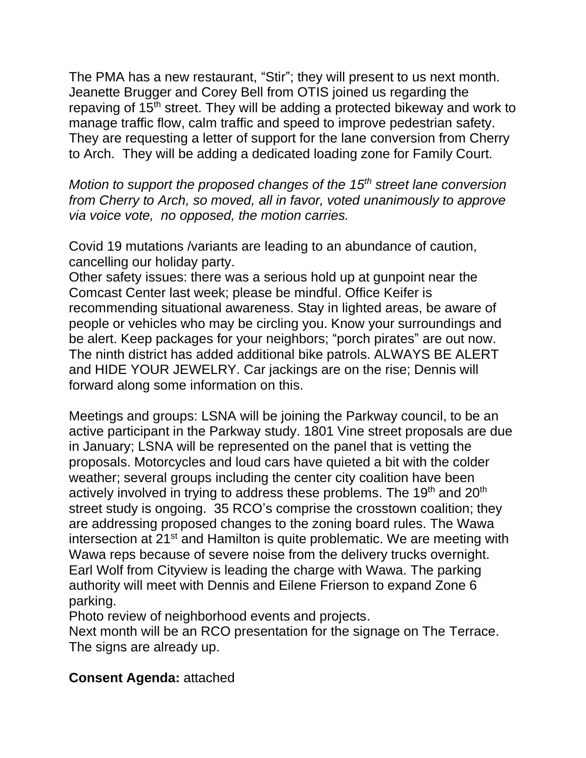The PMA has a new restaurant, "Stir"; they will present to us next month. Jeanette Brugger and Corey Bell from OTIS joined us regarding the repaving of 15<sup>th</sup> street. They will be adding a protected bikeway and work to manage traffic flow, calm traffic and speed to improve pedestrian safety. They are requesting a letter of support for the lane conversion from Cherry to Arch. They will be adding a dedicated loading zone for Family Court.

*Motion to support the proposed changes of the 15th street lane conversion from Cherry to Arch, so moved, all in favor, voted unanimously to approve via voice vote, no opposed, the motion carries.* 

Covid 19 mutations /variants are leading to an abundance of caution, cancelling our holiday party.

Other safety issues: there was a serious hold up at gunpoint near the Comcast Center last week; please be mindful. Office Keifer is recommending situational awareness. Stay in lighted areas, be aware of people or vehicles who may be circling you. Know your surroundings and be alert. Keep packages for your neighbors; "porch pirates" are out now. The ninth district has added additional bike patrols. ALWAYS BE ALERT and HIDE YOUR JEWELRY. Car jackings are on the rise; Dennis will forward along some information on this.

Meetings and groups: LSNA will be joining the Parkway council, to be an active participant in the Parkway study. 1801 Vine street proposals are due in January; LSNA will be represented on the panel that is vetting the proposals. Motorcycles and loud cars have quieted a bit with the colder weather; several groups including the center city coalition have been actively involved in trying to address these problems. The 19<sup>th</sup> and 20<sup>th</sup> street study is ongoing. 35 RCO's comprise the crosstown coalition; they are addressing proposed changes to the zoning board rules. The Wawa intersection at 21<sup>st</sup> and Hamilton is quite problematic. We are meeting with Wawa reps because of severe noise from the delivery trucks overnight. Earl Wolf from Cityview is leading the charge with Wawa. The parking authority will meet with Dennis and Eilene Frierson to expand Zone 6 parking.

Photo review of neighborhood events and projects.

Next month will be an RCO presentation for the signage on The Terrace. The signs are already up.

# **Consent Agenda:** attached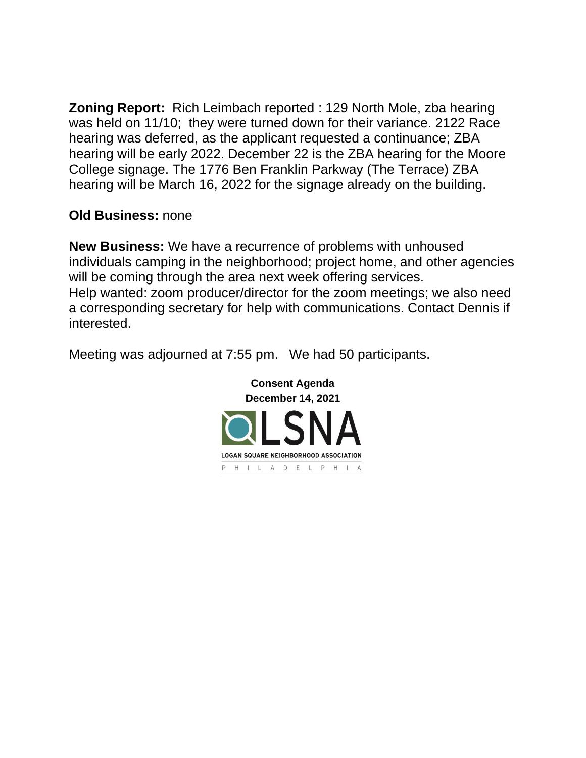**Zoning Report:** Rich Leimbach reported : 129 North Mole, zba hearing was held on 11/10; they were turned down for their variance. 2122 Race hearing was deferred, as the applicant requested a continuance; ZBA hearing will be early 2022. December 22 is the ZBA hearing for the Moore College signage. The 1776 Ben Franklin Parkway (The Terrace) ZBA hearing will be March 16, 2022 for the signage already on the building.

## **Old Business:** none

**New Business:** We have a recurrence of problems with unhoused individuals camping in the neighborhood; project home, and other agencies will be coming through the area next week offering services. Help wanted: zoom producer/director for the zoom meetings; we also need a corresponding secretary for help with communications. Contact Dennis if interested.

Meeting was adjourned at 7:55 pm. We had 50 participants.

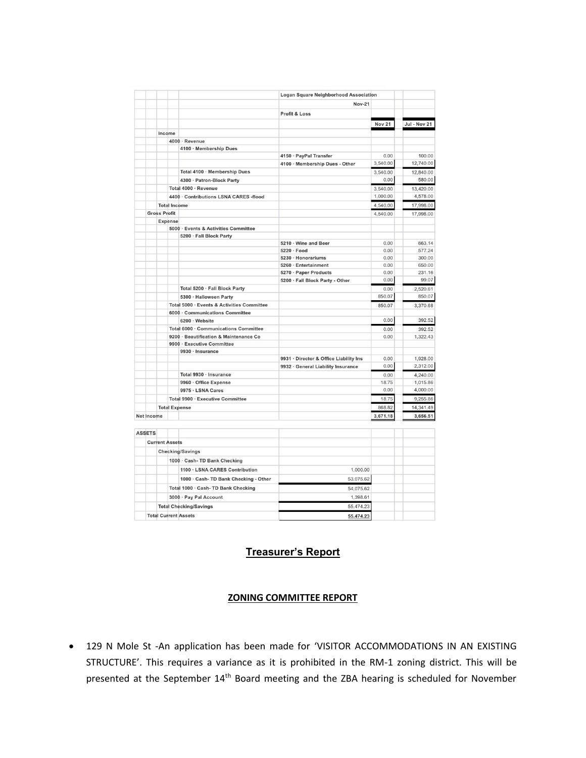|                   |                             |                                                | Logan Square Neighborhood Association  |               |                     |
|-------------------|-----------------------------|------------------------------------------------|----------------------------------------|---------------|---------------------|
|                   |                             |                                                | <b>Nov-21</b>                          |               |                     |
|                   |                             |                                                | <b>Profit &amp; Loss</b>               |               |                     |
|                   |                             |                                                |                                        | <b>Nov 21</b> | <b>Jul - Nov 21</b> |
|                   | Income                      |                                                |                                        |               |                     |
|                   |                             | 4000 · Revenue                                 |                                        |               |                     |
|                   |                             | 4100 · Membership Dues                         |                                        |               |                     |
|                   |                             |                                                | 4150 · PayPal Transfer                 | 0.00          | 100.00              |
|                   |                             |                                                | 4100 · Membership Dues - Other         | 3,540.00      | 12,740.00           |
|                   |                             | Total 4100 · Membership Dues                   |                                        | 3,540.00      | 12,840.00           |
|                   |                             | 4300 · Patron-Block Party                      |                                        | 0.00          | 580.00              |
|                   |                             | Total 4000 · Revenue                           |                                        | 3,540.00      | 13,420.00           |
|                   |                             | 4400 · Contributions LSNA CARES -flood         |                                        | 1,000.00      | 4,578.00            |
|                   | <b>Total Income</b>         |                                                |                                        | 4,540.00      | 17,998.00           |
|                   | <b>Gross Profit</b>         |                                                |                                        | 4,540.00      | 17,998.00           |
|                   | Expense                     |                                                |                                        |               |                     |
|                   |                             | 5000 · Events & Activities Committee           |                                        |               |                     |
|                   |                             | 5200 · Fall Block Party                        |                                        |               |                     |
|                   |                             |                                                | 5210 · Wine and Beer                   | 0.00          | 663.14              |
|                   |                             |                                                | $5220 \cdot Food$                      | 0.00          | 577.24              |
|                   |                             |                                                | 5230 · Honorariums                     | 0.00          | 300.00              |
|                   |                             |                                                | 5260 · Entertainment                   | 0.00          | 650.00              |
|                   |                             |                                                | 5270 · Paper Products                  | 0.00          | 231.16              |
|                   |                             |                                                | 5200 · Fall Block Party - Other        | 0.00          | 99.07               |
|                   |                             | Total 5200 · Fall Block Party                  |                                        | 0.00          | 2,520.61            |
|                   |                             | 5300 · Halloween Party                         |                                        | 850.07        | 850.07              |
|                   |                             | Total 5000 · Events & Activities Committee     |                                        | 850.07        | 3,370.68            |
|                   |                             | 6000 · Communications Committee                |                                        |               |                     |
|                   |                             | 6200 · Website                                 |                                        | 0.00          | 392.52              |
|                   |                             | Total 6000 · Communications Committee          |                                        | 0.00          | 392.52              |
|                   |                             | 9200 · Beautification & Maintenance Co         |                                        | 0.00          | 1,322.43            |
|                   |                             | 9900 · Executive Committee<br>9930 · Insurance |                                        |               |                     |
|                   |                             |                                                | 9931 · Director & Office Liability Ins | 0.00          | 1.928.00            |
|                   |                             |                                                | 9932 · General Liability Insurance     | 0.00          | 2,312.00            |
|                   |                             | Total 9930 · Insurance                         |                                        | 0.00          | 4,240.00            |
|                   |                             | 9960 · Office Expense                          |                                        | 18.75         | 1,015.86            |
|                   |                             | 9975 · LSNA Cares                              |                                        | 0.00          | 4,000.00            |
|                   |                             | Total 9900 · Executive Committee               |                                        | 18.75         | 9,255.86            |
|                   | <b>Total Expense</b>        |                                                |                                        | 868.82        | 14,341.49           |
| <b>Net Income</b> |                             |                                                |                                        | 3,671.18      | 3,656.51            |
|                   |                             |                                                |                                        |               |                     |
| <b>ASSETS</b>     |                             |                                                |                                        |               |                     |
|                   | <b>Current Assets</b>       |                                                |                                        |               |                     |
|                   |                             |                                                |                                        |               |                     |
|                   |                             | <b>Checking/Savings</b>                        |                                        |               |                     |
|                   |                             | 1000 · Cash- TD Bank Checking                  |                                        |               |                     |
|                   |                             | 1100 · LSNA CARES Contribution                 | 1,000.00                               |               |                     |
|                   |                             | 1000 · Cash- TD Bank Checking - Other          | 53,075.62                              |               |                     |
|                   |                             | Total 1000 · Cash- TD Bank Checking            | 54.075.62                              |               |                     |
|                   |                             | 3000 · Pay Pal Account                         | 1,398.61                               |               |                     |
|                   |                             | <b>Total Checking/Savings</b>                  | 55,474.23                              |               |                     |
|                   | <b>Total Current Assets</b> |                                                | <b>55 474 22</b>                       |               |                     |

## **Treasurer's Report**

## **ZONING COMMITTEE REPORT**

• 129 N Mole St -An application has been made for 'VISITOR ACCOMMODATIONS IN AN EXISTING STRUCTURE'. This requires a variance as it is prohibited in the RM-1 zoning district. This will be presented at the September 14th Board meeting and the ZBA hearing is scheduled for November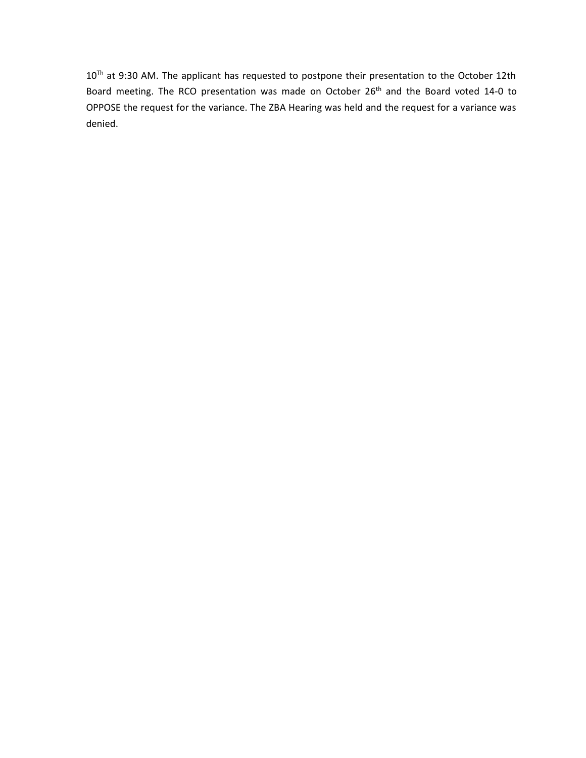10<sup>Th</sup> at 9:30 AM. The applicant has requested to postpone their presentation to the October 12th Board meeting. The RCO presentation was made on October 26<sup>th</sup> and the Board voted 14-0 to OPPOSE the request for the variance. The ZBA Hearing was held and the request for a variance was denied.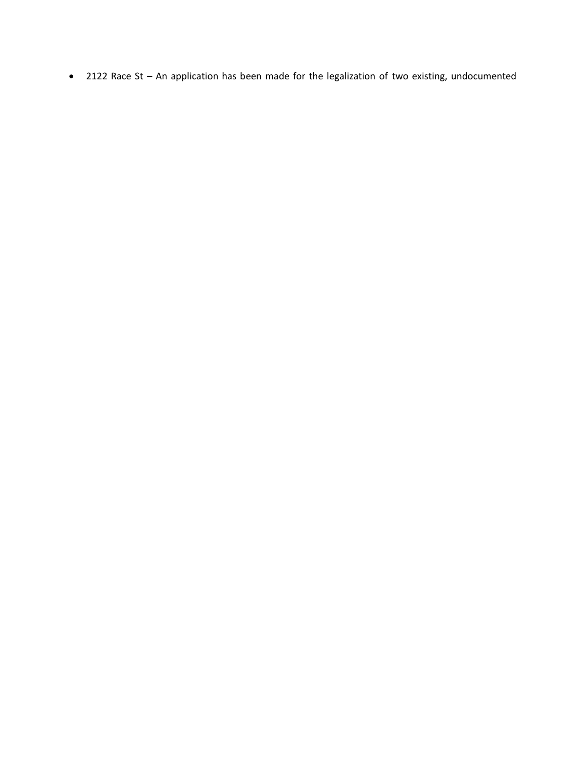• 2122 Race St – An application has been made for the legalization of two existing, undocumented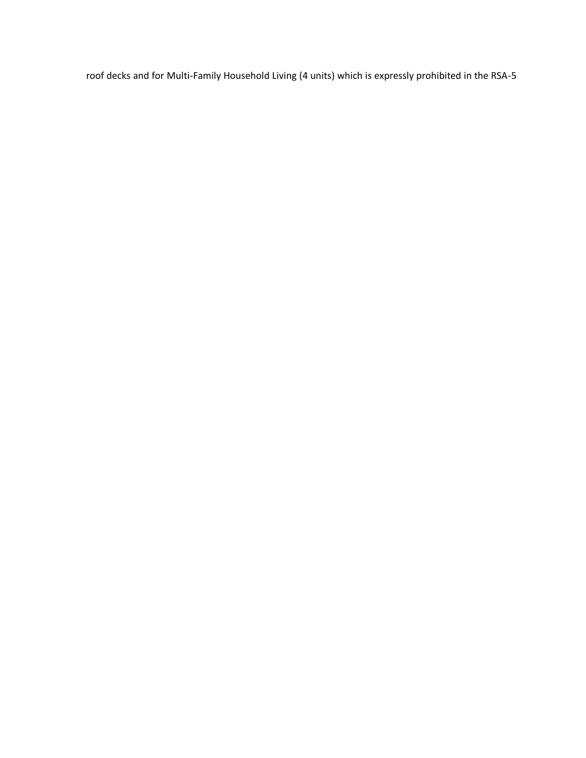roof decks and for Multi-Family Household Living (4 units) which is expressly prohibited in the RSA-5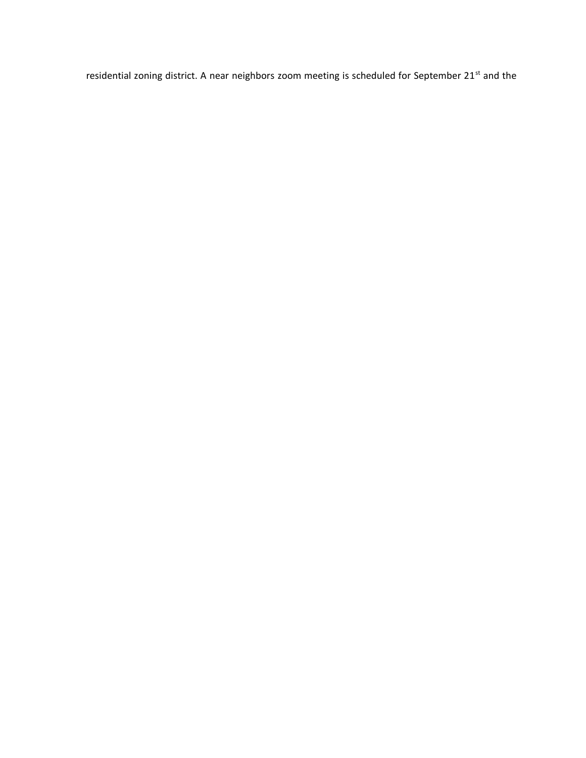residential zoning district. A near neighbors zoom meeting is scheduled for September 21<sup>st</sup> and the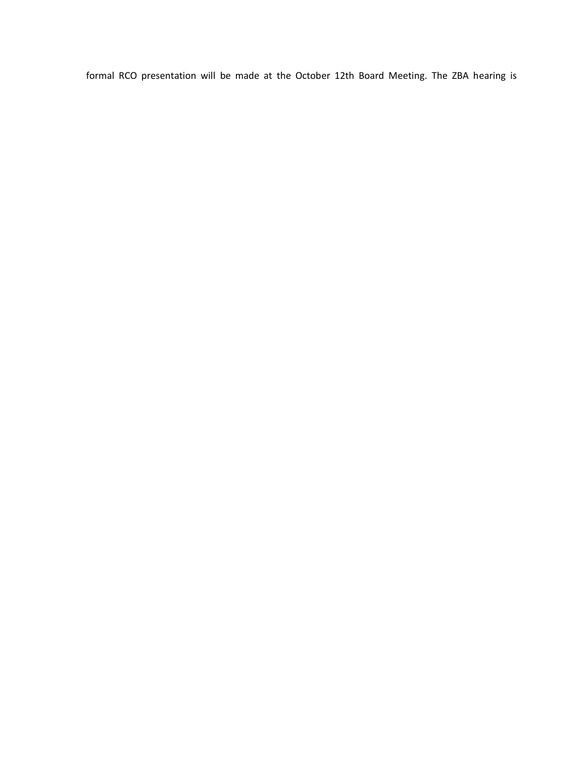formal RCO presentation will be made at the October 12th Board Meeting. The ZBA hearing is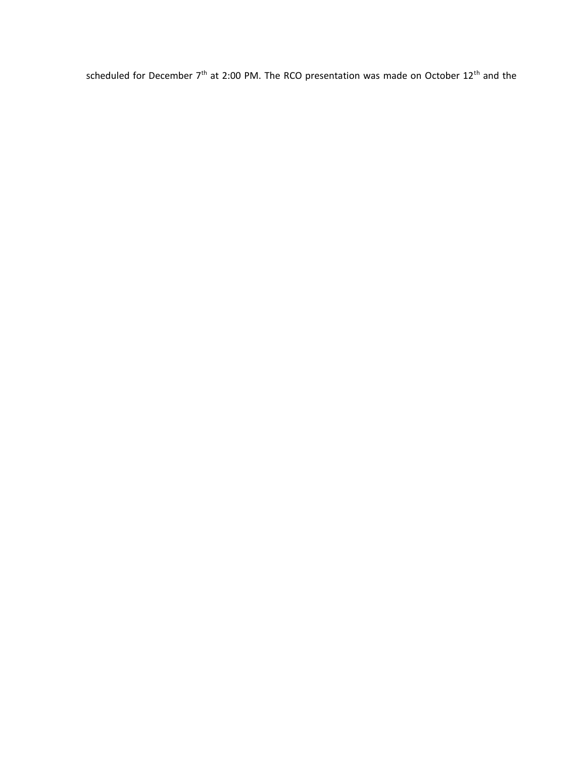scheduled for December  $7<sup>th</sup>$  at 2:00 PM. The RCO presentation was made on October 12<sup>th</sup> and the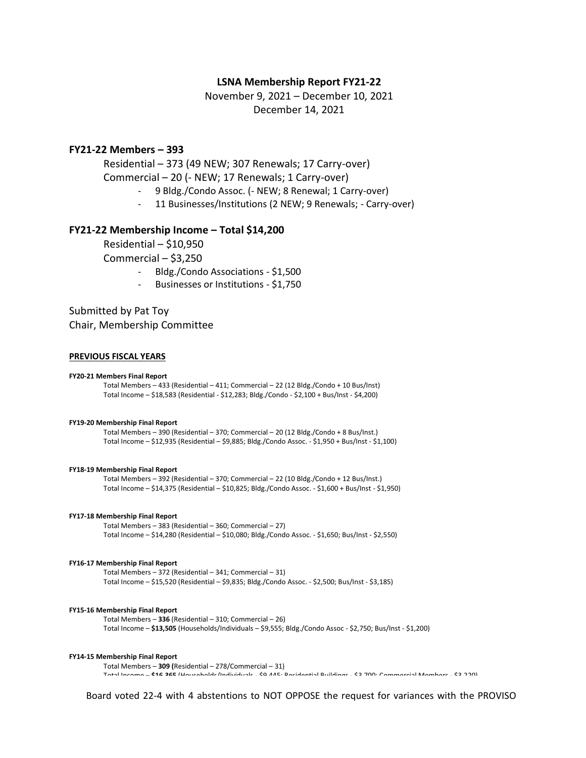## **LSNA Membership Report FY21-22**

November 9, 2021 – December 10, 2021 December 14, 2021

## **FY21-22 Members – 393**

Residential – 373 (49 NEW; 307 Renewals; 17 Carry-over)

Commercial – 20 (- NEW; 17 Renewals; 1 Carry-over)

- 9 Bldg./Condo Assoc. (- NEW; 8 Renewal; 1 Carry-over)
- 11 Businesses/Institutions (2 NEW; 9 Renewals; Carry-over)

### **FY21-22 Membership Income – Total \$14,200**

Residential – \$10,950

Commercial – \$3,250

- Bldg./Condo Associations \$1,500
- Businesses or Institutions \$1,750

Submitted by Pat Toy Chair, Membership Committee

### **PREVIOUS FISCAL YEARS**

#### **FY20-21 Members Final Report**

Total Members – 433 (Residential – 411; Commercial – 22 (12 Bldg./Condo + 10 Bus/Inst) Total Income – \$18,583 (Residential - \$12,283; Bldg./Condo - \$2,100 + Bus/Inst - \$4,200)

### **FY19-20 Membership Final Report**

Total Members – 390 (Residential – 370; Commercial – 20 (12 Bldg./Condo + 8 Bus/Inst.) Total Income – \$12,935 (Residential – \$9,885; Bldg./Condo Assoc. - \$1,950 + Bus/Inst - \$1,100)

#### **FY18-19 Membership Final Report**

Total Members – 392 (Residential – 370; Commercial – 22 (10 Bldg./Condo + 12 Bus/Inst.) Total Income – \$14,375 (Residential – \$10,825; Bldg./Condo Assoc. - \$1,600 + Bus/Inst - \$1,950)

### **FY17-18 Membership Final Report**

Total Members – 383 (Residential – 360; Commercial – 27) Total Income – \$14,280 (Residential – \$10,080; Bldg./Condo Assoc. - \$1,650; Bus/Inst - \$2,550)

#### **FY16-17 Membership Final Report**

Total Members – 372 (Residential – 341; Commercial – 31) Total Income – \$15,520 (Residential – \$9,835; Bldg./Condo Assoc. - \$2,500; Bus/Inst - \$3,185)

### **FY15-16 Membership Final Report**

Total Members – **336** (Residential – 310; Commercial – 26) Total Income – **\$13,505** (Households/Individuals – \$9,555; Bldg./Condo Assoc - \$2,750; Bus/Inst - \$1,200)

#### **FY14-15 Membership Final Report**

Total Members – **309 (**Residential – 278/Commercial – 31) Total Income – **\$16,365** (Households/Individuals - \$9,445; Residential Buildings - \$3,700; Commercial Members - \$3,220)

Board voted 22-4 with 4 abstentions to NOT OPPOSE the request for variances with the PROVISO